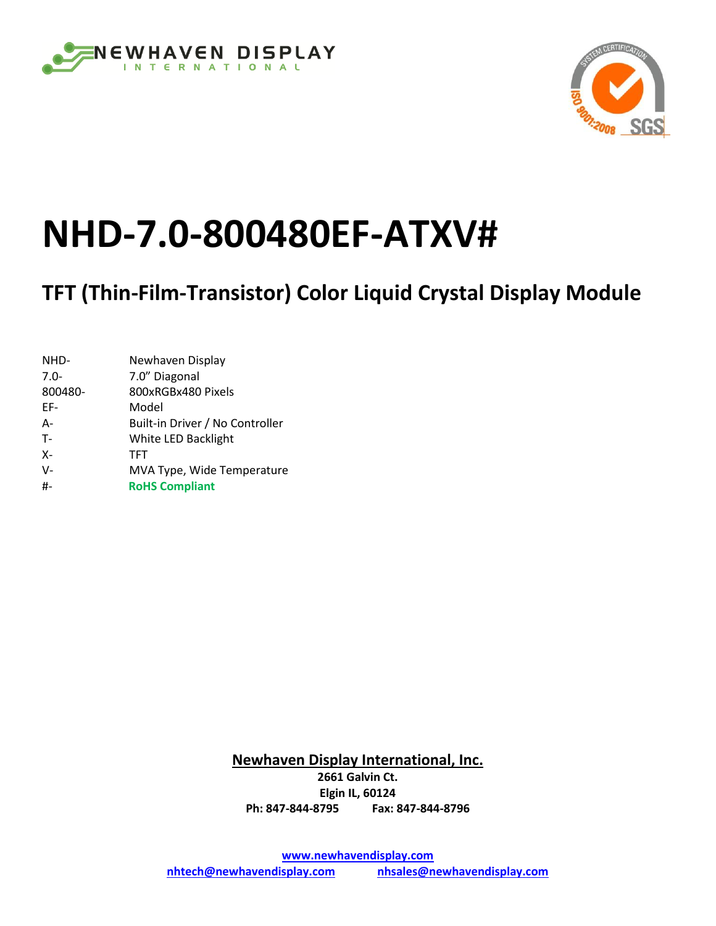



# **NHD-7.0-800480EF-ATXV#**

## **TFT (Thin-Film-Transistor) Color Liquid Crystal Display Module**

| NHD-    | Newhaven Display                |
|---------|---------------------------------|
| $7.0 -$ | 7.0" Diagonal                   |
| 800480- | 800xRGBx480 Pixels              |
| FF-     | Model                           |
| $A -$   | Built-in Driver / No Controller |
| $T -$   | White LED Backlight             |
| $X -$   | TFT                             |
| $V -$   | MVA Type, Wide Temperature      |
| #       | <b>RoHS Compliant</b>           |

**Newhaven Display International, Inc. 2661 Galvin Ct. Elgin IL, 60124 Ph: 847-844-8795 Fax: 847-844-8796**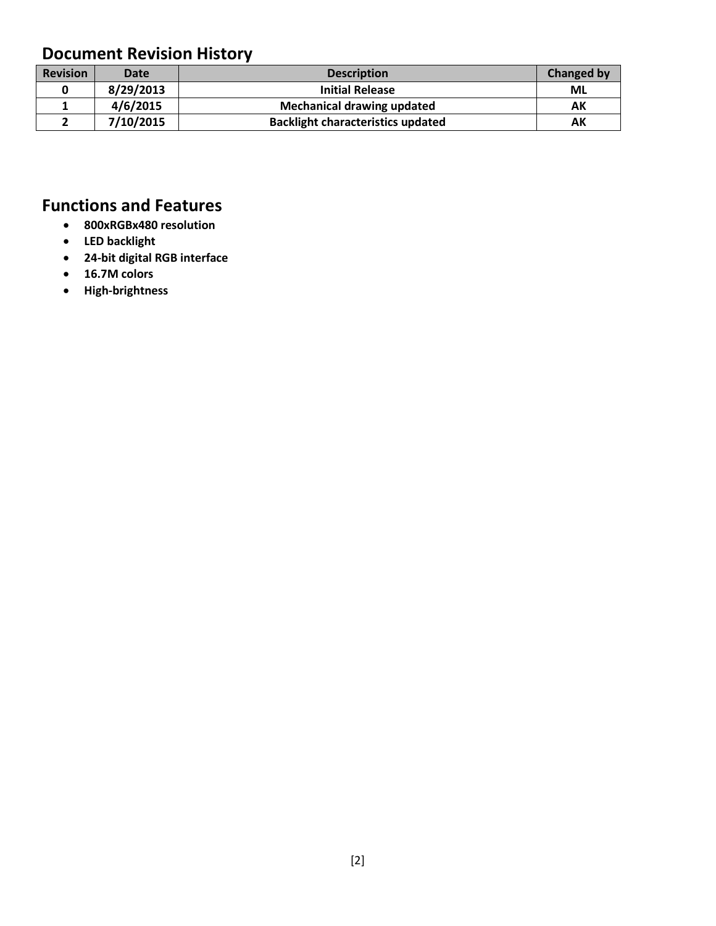### **Document Revision History**

| <b>Revision</b> | <b>Date</b> | <b>Description</b>                       | <b>Changed by</b> |
|-----------------|-------------|------------------------------------------|-------------------|
|                 | 8/29/2013   | <b>Initial Release</b>                   | ML                |
|                 | 4/6/2015    | <b>Mechanical drawing updated</b>        | АΚ                |
|                 | 7/10/2015   | <b>Backlight characteristics updated</b> | АΚ                |

### **Functions and Features**

- **800xRGBx480 resolution**
- **LED backlight**
- **24-bit digital RGB interface**
- **16.7M colors**
- **High-brightness**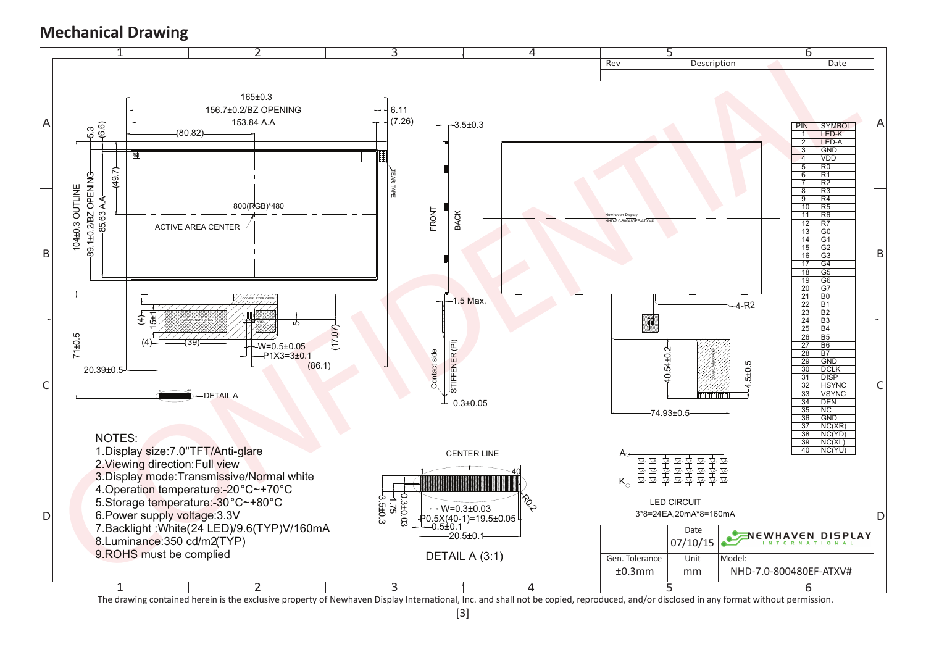#### **Mechanical Drawing**



The drawing contained herein is the exclusive property of Newhaven Display International, Inc. and shall not be copied, reproduced, and/or disclosed in any format without permission.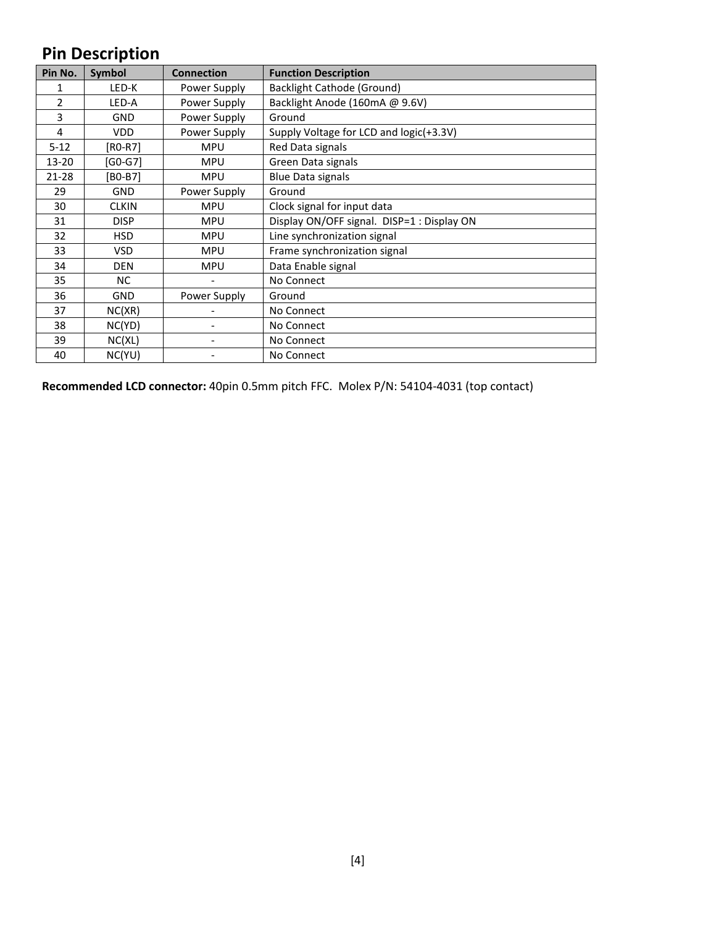### **Pin Description**

| Pin No.  | Symbol       | <b>Connection</b> | <b>Function Description</b>                |
|----------|--------------|-------------------|--------------------------------------------|
|          | LED-K        | Power Supply      | <b>Backlight Cathode (Ground)</b>          |
| 2        | LED-A        | Power Supply      | Backlight Anode (160mA @ 9.6V)             |
| 3        | <b>GND</b>   | Power Supply      | Ground                                     |
| 4        | <b>VDD</b>   | Power Supply      | Supply Voltage for LCD and logic(+3.3V)    |
| $5 - 12$ | [RO-R7]      | <b>MPU</b>        | Red Data signals                           |
| 13-20    | [G0-G7]      | <b>MPU</b>        | Green Data signals                         |
| 21-28    | $[BO-B7]$    | <b>MPU</b>        | <b>Blue Data signals</b>                   |
| 29       | <b>GND</b>   | Power Supply      | Ground                                     |
| 30       | <b>CLKIN</b> | <b>MPU</b>        | Clock signal for input data                |
| 31       | <b>DISP</b>  | <b>MPU</b>        | Display ON/OFF signal. DISP=1 : Display ON |
| 32       | <b>HSD</b>   | <b>MPU</b>        | Line synchronization signal                |
| 33       | <b>VSD</b>   | <b>MPU</b>        | Frame synchronization signal               |
| 34       | <b>DEN</b>   | <b>MPU</b>        | Data Enable signal                         |
| 35       | NC.          |                   | No Connect                                 |
| 36       | <b>GND</b>   | Power Supply      | Ground                                     |
| 37       | NC(XR)       |                   | No Connect                                 |
| 38       | NC(YD)       |                   | No Connect                                 |
| 39       | NC(XL)       |                   | No Connect                                 |
| 40       | NC(YU)       |                   | No Connect                                 |

**Recommended LCD connector:** 40pin 0.5mm pitch FFC. Molex P/N: 54104-4031 (top contact)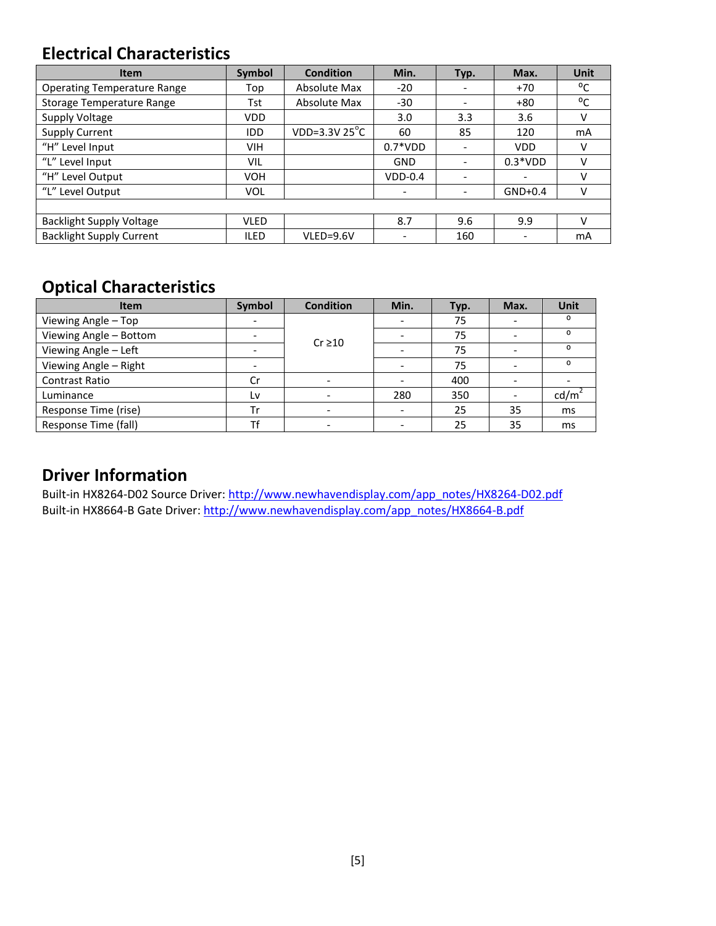#### **Electrical Characteristics**

| <b>Item</b>                        | Symbol      | <b>Condition</b>        | Min.      | Typ. | Max.       | Unit |
|------------------------------------|-------------|-------------------------|-----------|------|------------|------|
| <b>Operating Temperature Range</b> | Top         | Absolute Max            | $-20$     |      | $+70$      | °C   |
| <b>Storage Temperature Range</b>   | Tst         | Absolute Max            | $-30$     |      | $+80$      | °C   |
| Supply Voltage                     | <b>VDD</b>  |                         | 3.0       | 3.3  | 3.6        | v    |
| <b>Supply Current</b>              | <b>IDD</b>  | VDD=3.3V $25^{\circ}$ C | 60        | 85   | 120        | mA   |
| "H" Level Input                    | <b>VIH</b>  |                         | $0.7*VDD$ |      | <b>VDD</b> | v    |
| "L" Level Input                    | VIL         |                         | GND       |      | $0.3*VDD$  | v    |
| "H" Level Output                   | <b>VOH</b>  |                         | $VDD-0.4$ |      |            | v    |
| "L" Level Output                   | <b>VOL</b>  |                         |           | -    | $GND+0.4$  | v    |
|                                    |             |                         |           |      |            |      |
| <b>Backlight Supply Voltage</b>    | <b>VLED</b> |                         | 8.7       | 9.6  | 9.9        | v    |
| <b>Backlight Supply Current</b>    | <b>ILED</b> | VLED=9.6V               |           | 160  |            | mA   |

### **Optical Characteristics**

| <b>Item</b>            | Symbol | <b>Condition</b> | Min. | Typ. | Max. | <b>Unit</b> |
|------------------------|--------|------------------|------|------|------|-------------|
| Viewing Angle - Top    |        |                  |      | 75   |      | O           |
| Viewing Angle - Bottom |        | $Cr \ge 10$      |      | 75   |      | ο           |
| Viewing Angle - Left   |        |                  |      | 75   |      | $\Omega$    |
| Viewing Angle - Right  |        |                  |      | 75   |      | O           |
| <b>Contrast Ratio</b>  | Cr     |                  |      | 400  |      |             |
| Luminance              | Lv     |                  | 280  | 350  |      | cd/m        |
| Response Time (rise)   | Tr     |                  |      | 25   | 35   | ms          |
| Response Time (fall)   | тf     |                  |      | 25   | 35   | ms          |

#### **Driver Information**

Built-in HX8264-D02 Source Driver: [http://www.newhavendisplay.com/app\\_notes/HX8264-D02.pdf](http://www.newhavendisplay.com/app_notes/HX8264-D02.pdf) Built-in HX8664-B Gate Driver: [http://www.newhavendisplay.com/app\\_notes/HX8664-B.pdf](http://www.newhavendisplay.com/app_notes/HX8664-B.pdf)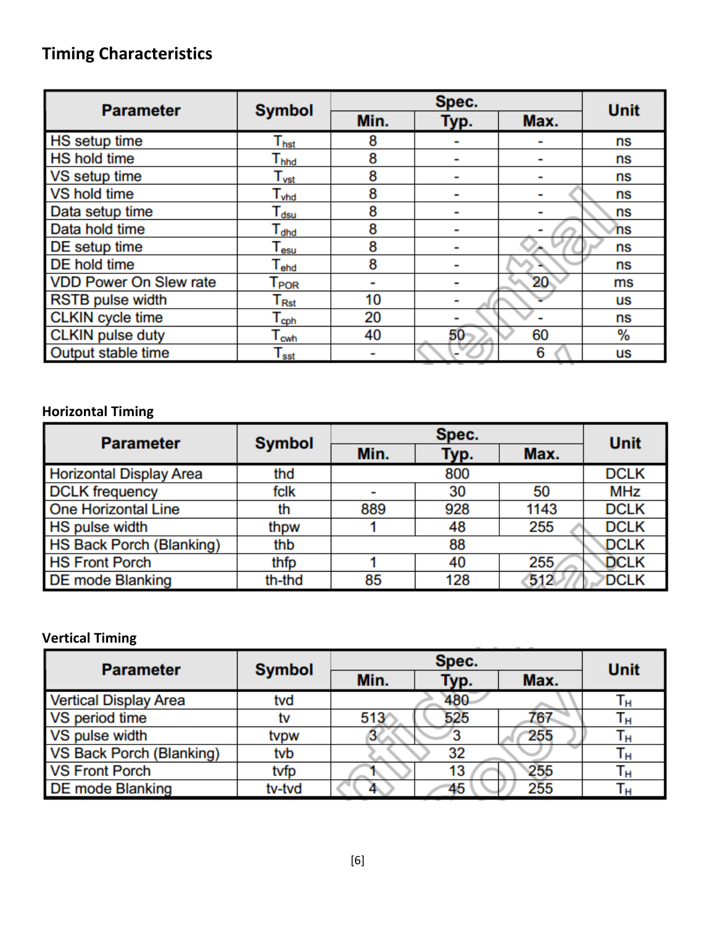### **Timing Characteristics**

| <b>Parameter</b>              | <b>Symbol</b>               |      | <b>Unit</b> |      |    |
|-------------------------------|-----------------------------|------|-------------|------|----|
|                               |                             | Min. | Typ.        | Max. |    |
| <b>HS</b> setup time          | $\mathsf{T}_{\mathsf{hst}}$ | 8    |             |      | ns |
| <b>HS hold time</b>           | $\mathsf{T}_{\mathsf{hhd}}$ | 8    |             |      | ns |
| VS setup time                 | $\mathsf{T}_{\mathsf{vst}}$ | 8    |             |      | ns |
| VS hold time                  | $\mathsf{T}_{\mathsf{vhd}}$ | 8    |             |      | ns |
| Data setup time               | $\mathsf{T}_{\mathsf{dsu}}$ | 8    |             |      | ns |
| Data hold time                | $\mathsf{T}_{\mathsf{dhd}}$ | 8    |             |      | ns |
| DE setup time                 | $\mathsf{T_{esu}}$          | 8    |             |      | ns |
| <b>DE</b> hold time           | $\mathsf{T}_{\mathsf{ehd}}$ | 8    |             |      | ns |
| <b>VDD Power On Slew rate</b> | $\mathsf{T}_{\mathsf{POR}}$ |      |             | 20   | ms |
| <b>RSTB</b> pulse width       | ${\mathsf T}_{\sf Rst}$     | 10   |             |      | us |
| <b>CLKIN</b> cycle time       | $\mathsf{T_{\textrm{cph}}}$ | 20   |             |      | ns |
| <b>CLKIN</b> pulse duty       | $\mathsf{T}_{\mathsf{cwh}}$ | 40   | 50          | 60   | %  |
| Output stable time            | $\mathsf{T}_{\mathsf{sst}}$ |      |             | 6    | us |

#### **Horizontal Timing**

| <b>Parameter</b>               | <b>Symbol</b> |      | <b>Unit</b> |      |             |
|--------------------------------|---------------|------|-------------|------|-------------|
|                                |               | Min. | Typ.        | Max. |             |
| <b>Horizontal Display Area</b> | thd           |      | 800         |      | <b>DCLK</b> |
| <b>DCLK</b> frequency          | fclk          |      | 30          | 50   | MHz         |
| <b>One Horizontal Line</b>     | th            | 889  | 928         | 1143 | <b>DCLK</b> |
| <b>HS pulse width</b>          | thpw          |      | 48          | 255  | <b>DCLK</b> |
| HS Back Porch (Blanking)       | thb           |      | 88          |      | <b>DCLK</b> |
| <b>HS Front Porch</b>          | thfp          |      | 40          | 255  | <b>DCLK</b> |
| <b>DE mode Blanking</b>        | th-thd        | 85   | 128         | 512  | <b>DCLK</b> |

#### **Vertical Timing**

| <b>Parameter</b>             | <b>Symbol</b> |                  | <b>Unit</b> |      |    |
|------------------------------|---------------|------------------|-------------|------|----|
|                              |               | Min.             | Typ.        | Max. |    |
| <b>Vertical Display Area</b> | tvd           |                  | 480         |      | Τн |
| VS period time               | tv            | 513 <sup>′</sup> | 525         | 767  | Гн |
| VS pulse width               | tvpw          |                  |             | 255  | Γн |
| VS Back Porch (Blanking)     | tvb           |                  | 32          |      | ١н |
| <b>VS Front Porch</b>        | tvfp          |                  | 13          | 255  | Гн |
| <b>DE mode Blanking</b>      | tv-tvd        |                  | 45          | 255  | Чн |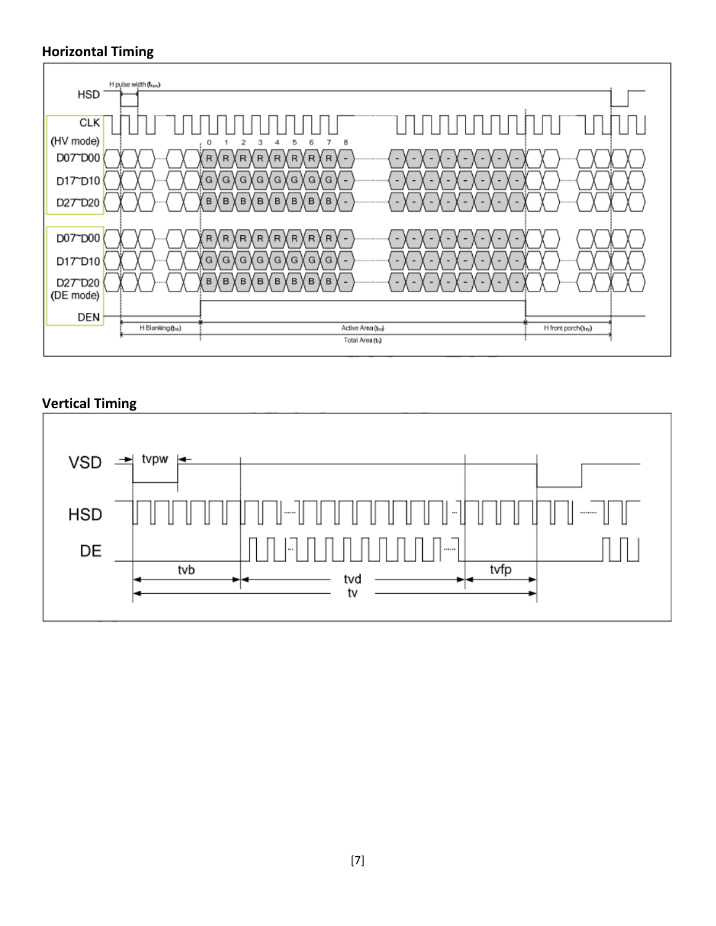#### **Horizontal Timing**



#### **Vertical Timing**

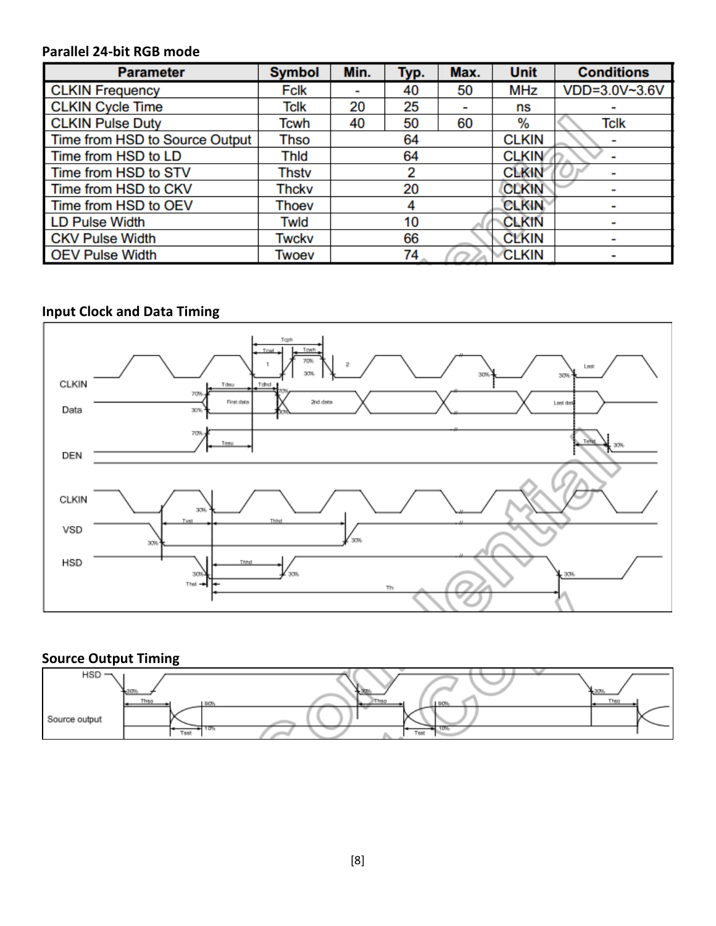#### **Parallel 24-bit RGB mode**

| <b>Parameter</b>               | <b>Symbol</b> | Min. | Typ. | Max. | <b>Unit</b>  | <b>Conditions</b> |
|--------------------------------|---------------|------|------|------|--------------|-------------------|
| <b>CLKIN Frequency</b>         | Fclk          |      | 40   | 50   | <b>MHz</b>   | VDD=3.0V~3.6V     |
| <b>CLKIN Cycle Time</b>        | Tclk          | 20   | 25   |      | ns           |                   |
| <b>CLKIN Pulse Duty</b>        | Tcwh          | 40   | 50   | 60   | %            | Tclk              |
| Time from HSD to Source Output | Thso          |      | 64   |      | <b>CLKIN</b> |                   |
| Time from HSD to LD            | Thid          |      | 64   |      | <b>CLKIN</b> |                   |
| Time from HSD to STV           | Thstv         |      | 2    |      | <b>CLKIN</b> |                   |
| Time from HSD to CKV           | Thckv         |      | 20   |      | <b>CLKIN</b> |                   |
| Time from HSD to OEV           | Thoev         |      |      |      | <b>CLKIN</b> |                   |
| <b>LD Pulse Width</b>          | Twld          |      | 10   |      | <b>CLKIN</b> |                   |
| <b>CKV Pulse Width</b>         | Twckv         |      | 66   |      | <b>CLKIN</b> |                   |
| <b>OEV Pulse Width</b>         | Twoev         |      | 74   |      | <b>CLKIN</b> |                   |

### **Input Clock and Data Timing**



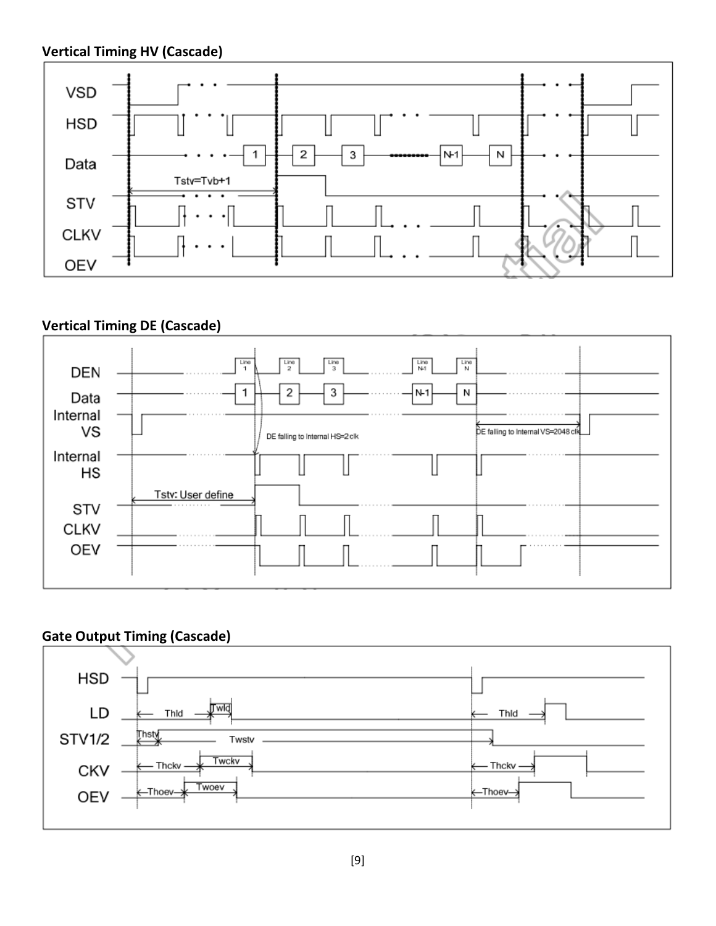#### **Vertical Timing HV (Cascade)**



#### **Vertical Timing DE (Cascade)**



#### **Gate Output Timing (Cascade)**

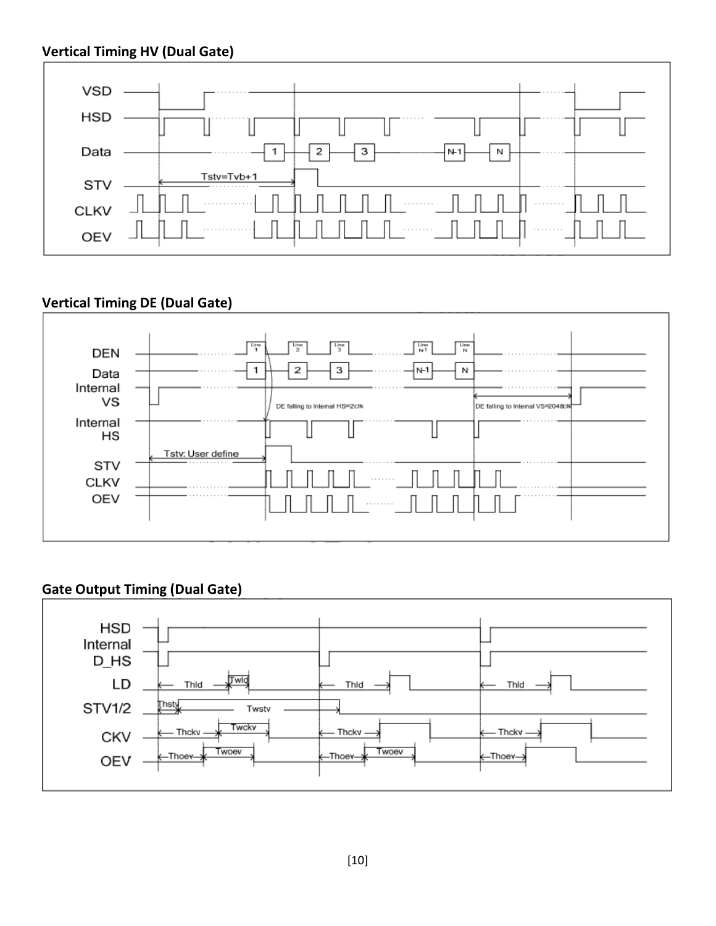

#### **Vertical Timing DE (Dual Gate)**



#### **Gate Output Timing (Dual Gate)**

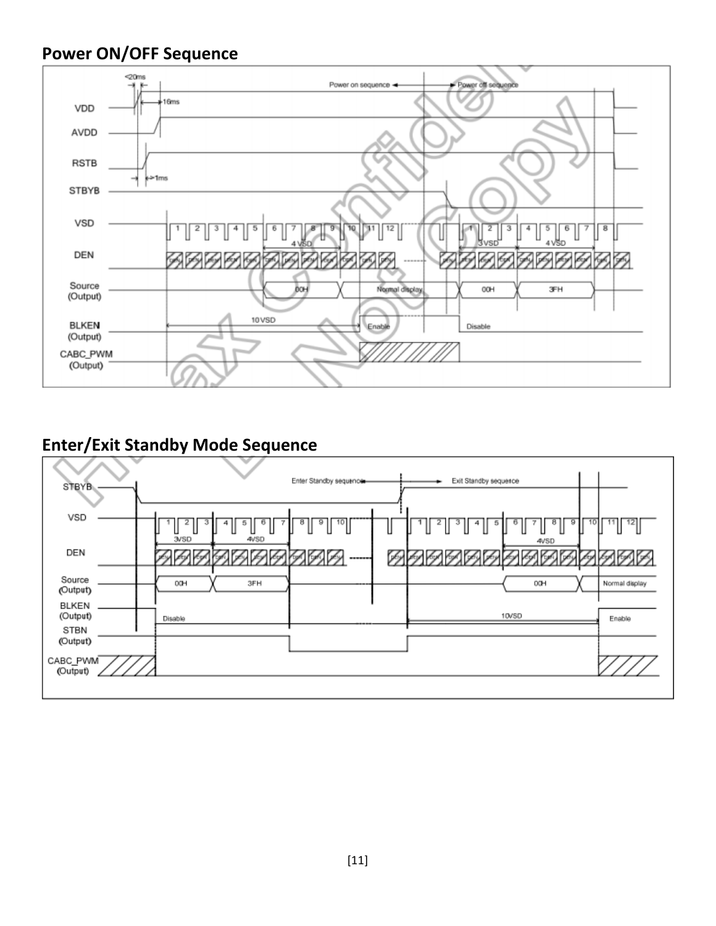#### **Power ON/OFF Sequence**



#### **Enter/Exit Standby Mode Sequence**